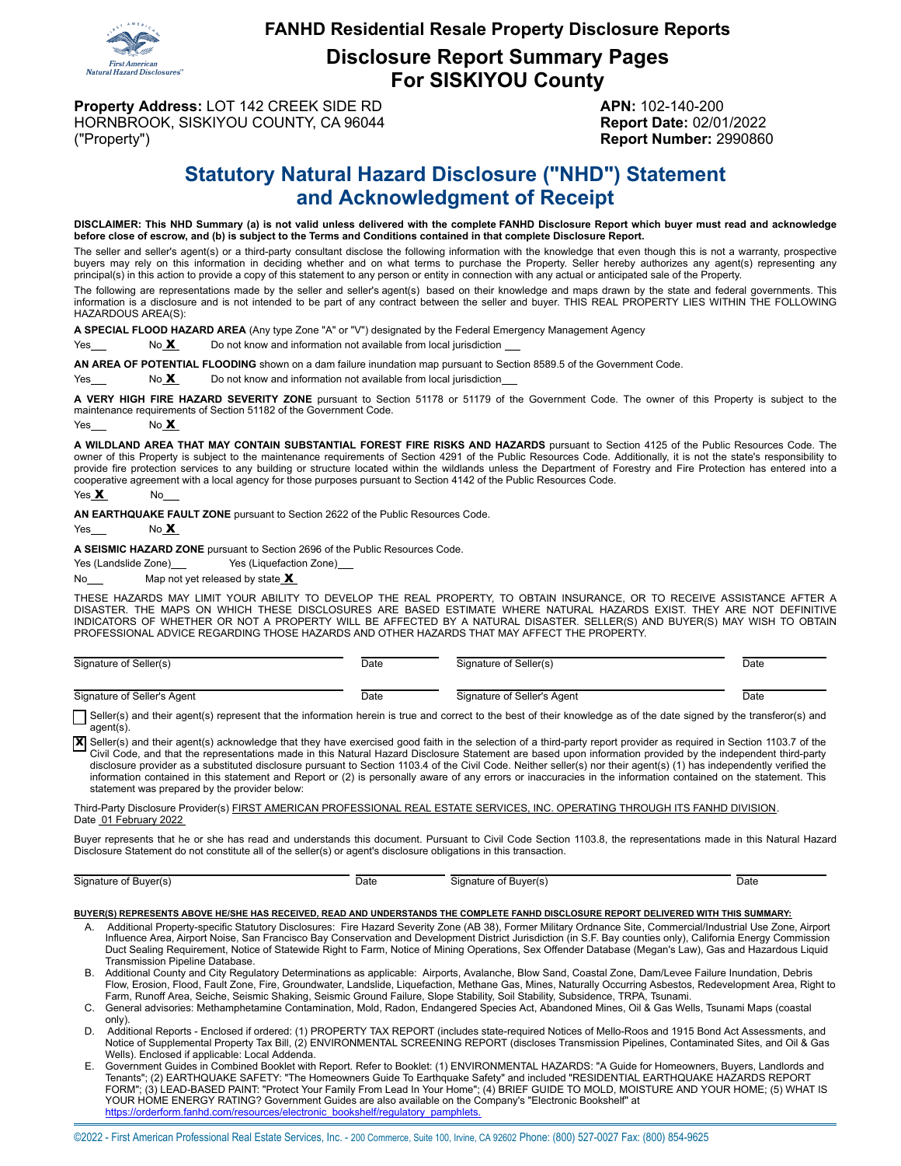

#### **FANHD Residential Resale Property Disclosure Reports**

**Disclosure Report Summary Pages For SISKIYOU County**

**Property Address:** LOT 142 CREEK SIDE RD **APN:** 102-140-200 HORNBROOK, SISKIYOU COUNTY, CA 96044 **Report Date:** 02/01/2022 ("Property") **Report Number:** 2990860

# **Statutory Natural Hazard Disclosure ("NHD") Statement and Acknowledgment of Receipt**

DISCLAIMER: This NHD Summary (a) is not valid unless delivered with the complete FANHD Disclosure Report which buyer must read and acknowledge **before close of escrow, and (b) is subject to the Terms and Conditions contained in that complete Disclosure Report.**

The seller and seller's agent(s) or a third-party consultant disclose the following information with the knowledge that even though this is not a warranty, prospective buyers may rely on this information in deciding whether and on what terms to purchase the Property. Seller hereby authorizes any agent(s) representing any principal(s) in this action to provide a copy of this statement to any person or entity in connection with any actual or anticipated sale of the Property.

The following are representations made by the seller and seller's agent(s) based on their knowledge and maps drawn by the state and federal governments. This information is a disclosure and is not intended to be part of any contract between the seller and buyer. THIS REAL PROPERTY LIES WITHIN THE FOLLOWING HAZARDOUS AREA(S):

**A SPECIAL FLOOD HAZARD AREA** (Any type Zone "A" or "V") designated by the Federal Emergency Management Agency

 $Yes$  No  $X$  Do not know and information not available from local jurisdiction

**AN AREA OF POTENTIAL FLOODING** shown on a dam failure inundation map pursuant to Section 8589.5 of the Government Code.

Yes  $\frac{\mathbf{x}}{2}$  No  $\frac{\mathbf{x}}{2}$  Do not know and information not available from local jurisdiction

**A VERY HIGH FIRE HAZARD SEVERITY ZONE** pursuant to Section 51178 or 51179 of the Government Code. The owner of this Property is subject to the maintenance requirements of Section 51182 of the Government Code.

Yes No **X** 

**A WILDLAND AREA THAT MAY CONTAIN SUBSTANTIAL FOREST FIRE RISKS AND HAZARDS** pursuant to Section 4125 of the Public Resources Code. The owner of this Property is subject to the maintenance requirements of Section 4291 of the Public Resources Code. Additionally, it is not the state's responsibility to provide fire protection services to any building or structure located within the wildlands unless the Department of Forestry and Fire Protection has entered into a cooperative agreement with a local agency for those purposes pursuant to Section 4142 of the Public Resources Code.

Yes X No

**AN EARTHQUAKE FAULT ZONE** pursuant to Section 2622 of the Public Resources Code.

 $Yes$  No  $X$ 

**A SEISMIC HAZARD ZONE** pursuant to Section 2696 of the Public Resources Code.

Yes (Landslide Zone) Yes (Liquefaction Zone)

No  $\mathsf{Map}$  not yet released by state  $\mathsf{X}$ 

THESE HAZARDS MAY LIMIT YOUR ABILITY TO DEVELOP THE REAL PROPERTY, TO OBTAIN INSURANCE, OR TO RECEIVE ASSISTANCE AFTER A DISASTER. THE MAPS ON WHICH THESE DISCLOSURES ARE BASED ESTIMATE WHERE NATURAL HAZARDS EXIST. THEY ARE NOT DEFINITIVE INDICATORS OF WHETHER OR NOT A PROPERTY WILL BE AFFECTED BY A NATURAL DISASTER. SELLER(S) AND BUYER(S) MAY WISH TO OBTAIN PROFESSIONAL ADVICE REGARDING THOSE HAZARDS AND OTHER HAZARDS THAT MAY AFFECT THE PROPERTY.

| Signature of Seller(s)      | Date | Signature of Seller(s)      | Date |
|-----------------------------|------|-----------------------------|------|
| Signature of Seller's Agent | Date | Signature of Seller's Agent | Date |

Seller(s) and their agent(s) represent that the information herein is true and correct to the best of their knowledge as of the date signed by the transferor(s) and agent(s).

X Seller(s) and their agent(s) acknowledge that they have exercised good faith in the selection of a third-party report provider as required in Section 1103.7 of the Civil Code, and that the representations made in this Natural Hazard Disclosure Statement are based upon information provided by the independent third-party disclosure provider as a substituted disclosure pursuant to Section 1103.4 of the Civil Code. Neither seller(s) nor their agent(s) (1) has independently verified the information contained in this statement and Report or (2) is personally aware of any errors or inaccuracies in the information contained on the statement. This statement was prepared by the provider below:

Third-Party Disclosure Provider(s) FIRST AMERICAN PROFESSIONAL REAL ESTATE SERVICES, INC. OPERATING THROUGH ITS FANHD DIVISION. Date 01 February 2022

Buyer represents that he or she has read and understands this document. Pursuant to Civil Code Section 1103.8, the representations made in this Natural Hazard Disclosure Statement do not constitute all of the seller(s) or agent's disclosure obligations in this transaction.

Signature of Buyer(s) Date Date Signature of Buyer(s) Date Date Date

#### **BUYER(S) REPRESENTS ABOVE HE/SHE HAS RECEIVED, READ AND UNDERSTANDS THE COMPLETE FANHD DISCLOSURE REPORT DELIVERED WITH THIS SUMMARY:**

- A. Additional Property-specific Statutory Disclosures: Fire Hazard Severity Zone (AB 38), Former Military Ordnance Site, Commercial/Industrial Use Zone, Airport<br>Influence Area, Airport Noise, San Francisco Bay Conservation Duct Sealing Requirement, Notice of Statewide Right to Farm, Notice of Mining Operations, Sex Offender Database (Megan's Law), Gas and Hazardous Liquid Transmission Pipeline Database.
- B. Additional County and City Regulatory Determinations as applicable: Airports, Avalanche, Blow Sand, Coastal Zone, Dam/Levee Failure Inundation, Debris<br>Flow, Erosion, Flood, Fault Zone, Fire, Groundwater, Landslide, Liqu Farm, Runoff Area, Seiche, Seismic Shaking, Seismic Ground Failure, Slope Stability, Soil Stability, Subsidence, TRPA, Tsunami.
- C. General advisories: Methamphetamine Contamination, Mold, Radon, Endangered Species Act, Abandoned Mines, Oil & Gas Wells, Tsunami Maps (coastal only).
- D. Additional Reports Enclosed if ordered: (1) PROPERTY TAX REPORT (includes state-required Notices of Mello-Roos and 1915 Bond Act Assessments, and Notice of Supplemental Property Tax Bill, (2) ENVIRONMENTAL SCREENING REPORT (discloses Transmission Pipelines, Contaminated Sites, and Oil & Gas Wells). Enclosed if applicable: Local Addenda.
- E. Government Guides in Combined Booklet with Report. Refer to Booklet: (1) ENVIRONMENTAL HAZARDS: "A Guide for Homeowners, Buyers, Landlords and<br>Tenants"; (2) EARTHQUAKE SAFETY: "The Homeowners Guide To Earthquake Safe FORM"; (3) LEAD-BASED PAINT: "Protect Your Family From Lead In Your Home"; (4) BRIEF GUIDE TO MOLD, MOISTURE AND YOUR HOME; (5) WHAT IS<br>YOUR HOME ENERGY RATING? Government Guides are also available on the Company's "Electr [https://orderform.fanhd.com/resources/electronic\\_bookshelf/regulatory\\_pamphlets.](https://orderform.fanhd.com/resources/electronic_bookshelf/regulatory_pamphlets)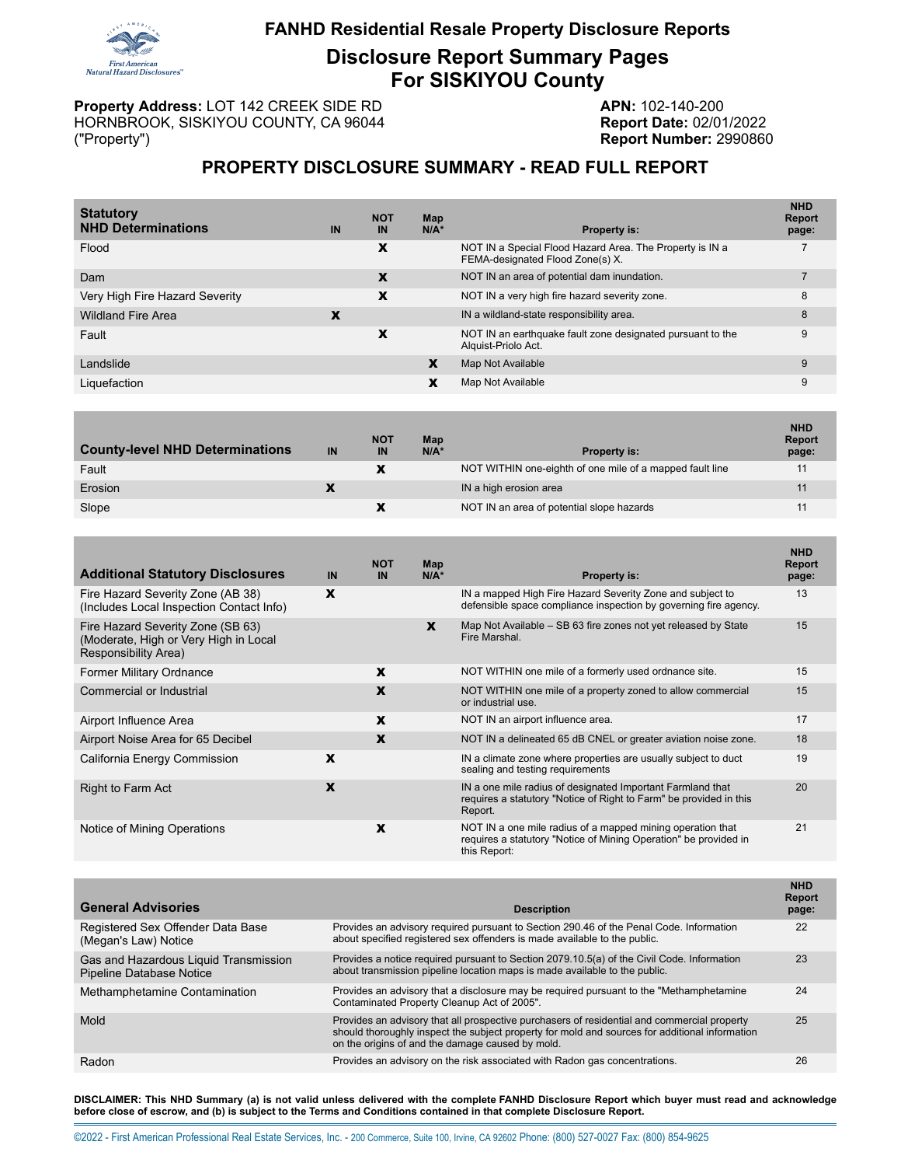

### **FANHD Residential Resale Property Disclosure Reports**

**Disclosure Report Summary Pages For SISKIYOU County**

**Property Address:** LOT 142 CREEK SIDE RD **APN:** 102-140-200 HORNBROOK, SISKIYOU COUNTY, CA 96044 **Report Date:** 02/01/2022 ("Property") **Report Number:** 2990860

## **PROPERTY DISCLOSURE SUMMARY - READ FULL REPORT**

| <b>Statutory</b><br><b>NHD Determinations</b> | IN | <b>NOT</b><br>IN | Map<br>$N/A^*$ | <b>Property is:</b>                                                                          | <b>NHD</b><br>Report<br>page: |
|-----------------------------------------------|----|------------------|----------------|----------------------------------------------------------------------------------------------|-------------------------------|
| Flood                                         |    | X                |                | NOT IN a Special Flood Hazard Area. The Property is IN a<br>FEMA-designated Flood Zone(s) X. |                               |
| Dam                                           |    | X                |                | NOT IN an area of potential dam inundation.                                                  |                               |
| Very High Fire Hazard Severity                |    | X                |                | NOT IN a very high fire hazard severity zone.                                                | 8                             |
| <b>Wildland Fire Area</b>                     | X  |                  |                | IN a wildland-state responsibility area.                                                     | 8                             |
| Fault                                         |    | x                |                | NOT IN an earthquake fault zone designated pursuant to the<br>Alguist-Priolo Act.            | 9                             |
| Landslide                                     |    |                  | X              | Map Not Available                                                                            | 9                             |
| Liquefaction                                  |    |                  | X              | Map Not Available                                                                            | 9                             |
|                                               |    |                  |                |                                                                                              |                               |

| <b>County-level NHD Determinations</b> | IN | <b>NOT</b><br>IN | Map<br>$N/A^*$ | <b>Property is:</b>                                      | <b>NHD</b><br><b>Report</b><br>page: |
|----------------------------------------|----|------------------|----------------|----------------------------------------------------------|--------------------------------------|
| Fault                                  |    |                  |                | NOT WITHIN one-eighth of one mile of a mapped fault line | 11                                   |
| Erosion                                |    |                  |                | IN a high erosion area                                   | 11                                   |
| Slope                                  |    |                  |                | NOT IN an area of potential slope hazards                |                                      |

| <b>Additional Statutory Disclosures</b>                                                            | IN | <b>NOT</b><br>IN | Map<br>$N/A^*$ | <b>Property is:</b>                                                                                                                            | <b>NHD</b><br>Report<br>page: |
|----------------------------------------------------------------------------------------------------|----|------------------|----------------|------------------------------------------------------------------------------------------------------------------------------------------------|-------------------------------|
| Fire Hazard Severity Zone (AB 38)<br>(Includes Local Inspection Contact Info)                      | X  |                  |                | IN a mapped High Fire Hazard Severity Zone and subject to<br>defensible space compliance inspection by governing fire agency.                  | 13                            |
| Fire Hazard Severity Zone (SB 63)<br>(Moderate, High or Very High in Local<br>Responsibility Area) |    |                  | X              | Map Not Available – SB 63 fire zones not yet released by State<br>Fire Marshal.                                                                | 15                            |
| <b>Former Military Ordnance</b>                                                                    |    | X                |                | NOT WITHIN one mile of a formerly used ordnance site.                                                                                          | 15                            |
| <b>Commercial or Industrial</b>                                                                    |    | X                |                | NOT WITHIN one mile of a property zoned to allow commercial<br>or industrial use.                                                              | 15                            |
| Airport Influence Area                                                                             |    | X                |                | NOT IN an airport influence area.                                                                                                              | 17                            |
| Airport Noise Area for 65 Decibel                                                                  |    | $\mathbf x$      |                | NOT IN a delineated 65 dB CNEL or greater aviation noise zone.                                                                                 | 18                            |
| California Energy Commission                                                                       | X  |                  |                | IN a climate zone where properties are usually subject to duct<br>sealing and testing requirements                                             | 19                            |
| <b>Right to Farm Act</b>                                                                           | X  |                  |                | IN a one mile radius of designated Important Farmland that<br>requires a statutory "Notice of Right to Farm" be provided in this<br>Report.    | 20                            |
| Notice of Mining Operations                                                                        |    | X                |                | NOT IN a one mile radius of a mapped mining operation that<br>requires a statutory "Notice of Mining Operation" be provided in<br>this Report: | 21                            |

| <b>General Advisories</b>                                                | <b>Description</b>                                                                                                                                                                                                                                | <b>NHD</b><br>Report<br>page: |
|--------------------------------------------------------------------------|---------------------------------------------------------------------------------------------------------------------------------------------------------------------------------------------------------------------------------------------------|-------------------------------|
| Registered Sex Offender Data Base<br>(Megan's Law) Notice                | Provides an advisory required pursuant to Section 290.46 of the Penal Code. Information<br>about specified registered sex offenders is made available to the public.                                                                              | 22                            |
| Gas and Hazardous Liquid Transmission<br><b>Pipeline Database Notice</b> | Provides a notice required pursuant to Section 2079.10.5(a) of the Civil Code. Information<br>about transmission pipeline location maps is made available to the public.                                                                          | 23                            |
| Methamphetamine Contamination                                            | Provides an advisory that a disclosure may be required pursuant to the "Methamphetamine"<br>Contaminated Property Cleanup Act of 2005".                                                                                                           | 24                            |
| Mold                                                                     | Provides an advisory that all prospective purchasers of residential and commercial property<br>should thoroughly inspect the subject property for mold and sources for additional information<br>on the origins of and the damage caused by mold. | 25                            |
| Radon                                                                    | Provides an advisory on the risk associated with Radon gas concentrations.                                                                                                                                                                        | 26                            |

DISCLAIMER: This NHD Summary (a) is not valid unless delivered with the complete FANHD Disclosure Report which buyer must read and acknowledge **before close of escrow, and (b) is subject to the Terms and Conditions contained in that complete Disclosure Report.**